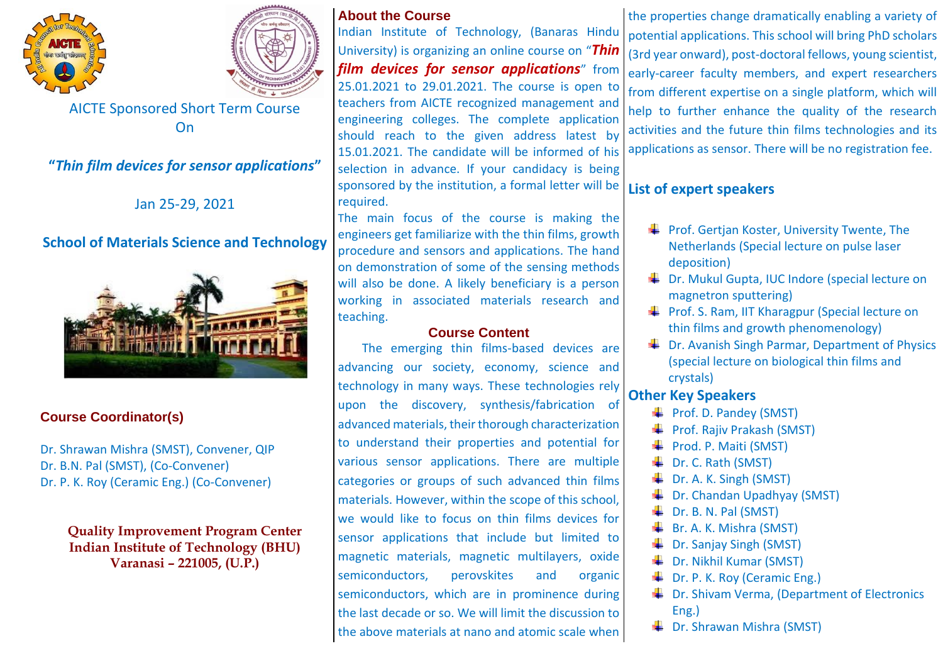



AICTE Sponsored Short Term Course On

**"***Thin film devices for sensor applications***"**

Jan 25-29, 2021

# **School of Materials Science and Technology**



## **Course Coordinator(s)**

Dr. Shrawan Mishra (SMST), Convener, QIP Dr. B.N. Pal (SMST), (Co-Convener) Dr. P. K. Roy (Ceramic Eng.) (Co-Convener)

> **Quality Improvement Program Center Indian Institute of Technology (BHU) Varanasi – 221005, (U.P.)**

#### **About the Course**

Indian Institute of Technology, (Banaras Hindu University) is organizing an online course on "*Thin film devices for sensor applications*" from 25.01.2021 to 29.01.2021. The course is open to teachers from AICTE recognized management and engineering colleges. The complete application should reach to the given address latest by 15.01.2021. The candidate will be informed of his selection in advance. If your candidacy is being sponsored by the institution, a formal letter will be required.

The main focus of the course is making the engineers get familiarize with the thin films, growth procedure and sensors and applications. The hand on demonstration of some of the sensing methods will also be done. A likely beneficiary is a person working in associated materials research and teaching.

### **Course Content**

The emerging thin films-based devices are advancing our society, economy, science and technology in many ways. These technologies rely upon the discovery, synthesis/fabrication of advanced materials, their thorough characterization to understand their properties and potential for various sensor applications. There are multiple categories or groups of such advanced thin films materials. However, within the scope of this school, we would like to focus on thin films devices for sensor applications that include but limited to magnetic materials, magnetic multilayers, oxide semiconductors, perovskites and organic semiconductors, which are in prominence during the last decade or so. We will limit the discussion to the above materials at nano and atomic scale when

the properties change dramatically enabling a variety of potential applications. This school will bring PhD scholars (3rd year onward), post-doctoral fellows, young scientist, early-career faculty members, and expert researchers from different expertise on a single platform, which will help to further enhance the quality of the research activities and the future thin films technologies and its applications as sensor. There will be no registration fee.

## **List of expert speakers**

- $\leftarrow$  Prof. Gertjan Koster, University Twente, The Netherlands (Special lecture on pulse laser deposition)
- **↓** Dr. Mukul Gupta, IUC Indore (special lecture on magnetron sputtering)
- $\frac{1}{2}$  Prof. S. Ram, IIT Kharagpur (Special lecture on thin films and growth phenomenology)
- $\frac{1}{2}$  Dr. Avanish Singh Parmar, Department of Physics (special lecture on biological thin films and crystals)

## **Other Key Speakers**

- $\overline{\phantom{a}}$  Prof. D. Pandey (SMST)
- $\overline{\text{Proof}}$ . Rajiv Prakash (SMST)
- $\blacktriangleright$  Prod. P. Maiti (SMST)
- $\overline{\text{L}}$  Dr. C. Rath (SMST)
- Dr. A. K. Singh (SMST)
- Dr. Chandan Upadhyay (SMST)
- Dr. B. N. Pal (SMST)
- $\overline{\text{Br}}$ . A. K. Mishra (SMST)
- Dr. Sanjay Singh (SMST)
- **L** Dr. Nikhil Kumar (SMST)
- **Dr. P. K. Roy (Ceramic Eng.)**
- $\bigstar$  Dr. Shivam Verma, (Department of Electronics Eng.)
- **↓** Dr. Shrawan Mishra (SMST)